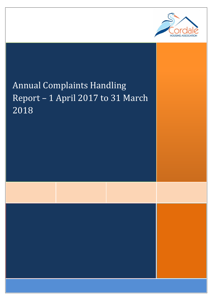

 $\overline{a}$ 

# Annual Complaints Handling Report – 1 April 2017 to 31 March 2018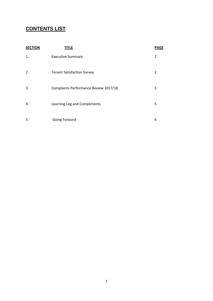#### **CONTENTS LIST**

| <b>SECTION</b> | <b>TITLE</b>                          | <b>PAGE</b>    |
|----------------|---------------------------------------|----------------|
| 1.             | <b>Executive Summary</b>              | 2              |
| 2.             | <b>Tenant Satisfaction Survey</b>     | $\overline{2}$ |
| 3.             | Complaints Performance Review 2017/18 | 3              |
| 4.             | Learning Log and Compliments          | 5              |
| 5.             | Going Forward                         | 6              |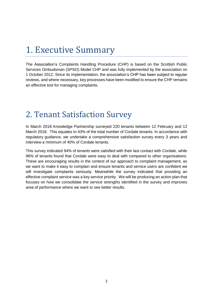#### 1. Executive Summary

The Association's Complaints Handling Procedure (CHP) is based on the Scottish Public Services Ombudsman (SPSO) Model CHP and was fully implemented by the association on 1 October 2012. Since its implementation, the association's CHP has been subject to regular reviews, and where necessary, key processes have been modified to ensure the CHP remains an effective tool for managing complaints.

#### 2. Tenant Satisfaction Survey

In March 2018 Knowledge Partnership surveyed 220 tenants between 12 February and 12 March 2018. This equates to 43% of the total number of Cordale tenants. In accordance with regulatory guidance, we undertake a comprehensive satisfaction survey every 3 years and interview a minimum of 40% of Cordale tenants.

This survey indicated 94% of tenants were satisfied with their last contact with Cordale, while 96% of tenants found that Cordale were easy to deal with compared to other organisations. These are encouraging results in the context of our approach to complaint management, as we want to make it easy to complain and ensure tenants and service users are confident we will investigate complaints seriously. Meanwhile the survey indicated that providing an effective complaint service was a key service priority. We will be producing an action plan that focuses on how we consolidate the service strengths identified in the survey and improves area of performance where we want to see better results.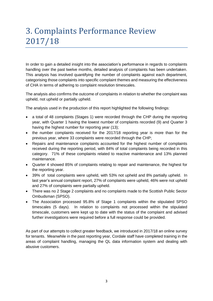### 3. Complaints Performance Review 2017/18

In order to gain a detailed insight into the association's performance in regards to complaints handling over the past twelve months, detailed analysis of complaints has been undertaken. This analysis has involved quantifying the number of complaints against each department, categorising those complaints into specific complaint themes and measuring the effectiveness of CHA in terms of adhering to complaint resolution timescales.

The analysis also confirms the outcome of complaints in relation to whether the complaint was upheld, not upheld or partially upheld.

The analysis used in the production of this report highlighted the following findings:

- a total of 48 complaints (Stages 1) were recorded through the CHP during the reporting year, with Quarter 1 having the lowest number of complaints recorded (9) and Quarter 3 having the highest number for reporting year (13);
- the number complaints received for the 2017/18 reporting year is more than for the previous year, where 33 complaints were recorded through the CHP;
- Repairs and maintenance complaints accounted for the highest number of complaints received during the reporting period, with 84% of total complaints being recorded in this category. 71% of these complaints related to reactive maintenance and 13% planned maintenance.
- Quarter 4 showed 85% of complaints relating to repair and maintenance, the highest for the reporting year.
- 39% of total complaints were upheld, with 53% not upheld and 8% partially upheld. In last year's annual complaint report, 27% of complaints were upheld, 46% were not upheld and 27% of complaints were partially upheld.
- There was no 2 Stage 2 complaints and no complaints made to the Scottish Public Sector Ombudsman (SPSO).
- The Association processed 95.8% of Stage 1 complaints within the stipulated SPSO timescales (5 days). In relation to complaints not processed within the stipulated timescale, customers were kept up to date with the status of the complaint and advised further investigations were required before a full response could be provided.

As part of our attempts to collect greater feedback, we introduced in 2017/18 an online survey for tenants. Meanwhile in the past reporting year, Cordale staff have completed training in the areas of complaint handling, managing the QL data information system and dealing with abusive customers.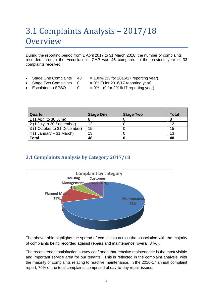### 3.1 Complaints Analysis – 2017/18 **Overview**

During the reporting period from 1 April 2017 to 31 March 2018, the number of complaints recorded through the Association's CHP was **48** compared to the previous year of 33 complaints received.

- - Stage One Complaints  $48 = 100\%$  (33 for 2016/17 reporting year)
	- Stage Two Complaints  $0 = 0\%$  (0 for 2016/17 reporting year)
- 
- Escalated to SPSO  $0 = 0\%$  (0 for 2016/17 reporting year)

| Quarter                      | <b>Stage One</b> | <b>Stage Two</b> | <b>Total</b> |
|------------------------------|------------------|------------------|--------------|
| 1 (1 April to 30 June)       |                  |                  |              |
| 2 (1 July to 30 September)   | 12               |                  | 12           |
| 3 (1 October to 31 December) | 15               |                  | 15           |
| 4 (1 January $-31$ March)    | 13               |                  | 13           |
| <b>Total</b>                 | 48               |                  | 48           |

#### **3.1 Complaints Analysis by Category 2017/18**



The above table highlights the spread of complaints across the association with the majority of complaints being recorded against repairs and maintenance (overall 84%).

The recent tenant satisfaction survey confirmed that reactive maintenance is the most visible and important service area for our tenants. This is reflected in the complaint analysis, with the majority of complaints relating to reactive maintenance. In the 2016-17 annual complaint report, 70% of the total complaints comprised of day-to-day repair issues.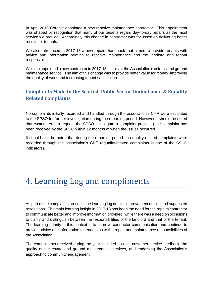In April 2018 Cordale appointed a new reactive maintenance contractor. This appointment was shaped by recognition that many of our tenants regard day-to-day repairs as the most service we provide. Accordingly this change in contractor was focussed on delivering better results for tenants.

We also introduced in 2017-18 a new repairs handbook that aimed to provide tenants with advice and information relating to reactive maintenance and the landlord and tenant responsibilities.

We also appointed a new contractor in 2017-18 to deliver the Association's estates and ground maintenance service. The aim of this change was to provide better value for money, improving the quality of work and increasing tenant satisfaction.

#### **Complaints Made to the Scottish Public Sector Ombudsman & Equality Related Complaints**

No complaints initially recorded and handled through the association's CHP were escalated to the SPSO for further investigation during the reporting period. However it should be noted that customers can request the SPSO investigate a complaint providing the complaint has been received by the SPSO within 12 months of when the issues occurred.

It should also be noted that during the reporting period no equality-related complaints were recorded through the association's CHP (equality-related complaints is one of the SSHC indicators).

### 4. Learning Log and compliments

As part of the complaints process, the learning log details improvement details and suggested resolutions. The main learning insight in 2017-18 has been the need for the repairs contractor to communicate better and improve information provided, while there was a need on occasions to clarify and distinguish between the responsibilities of the landlord and that of the tenant. The learning priority in this context is to improve contractor communication and continue to provide advice and information to tenants as to the repair and maintenance responsibilities of the Association.

The compliments received during the year included positive customer service feedback, the quality of the estate and ground maintenance services, and endorsing the Association's approach to community engagement.